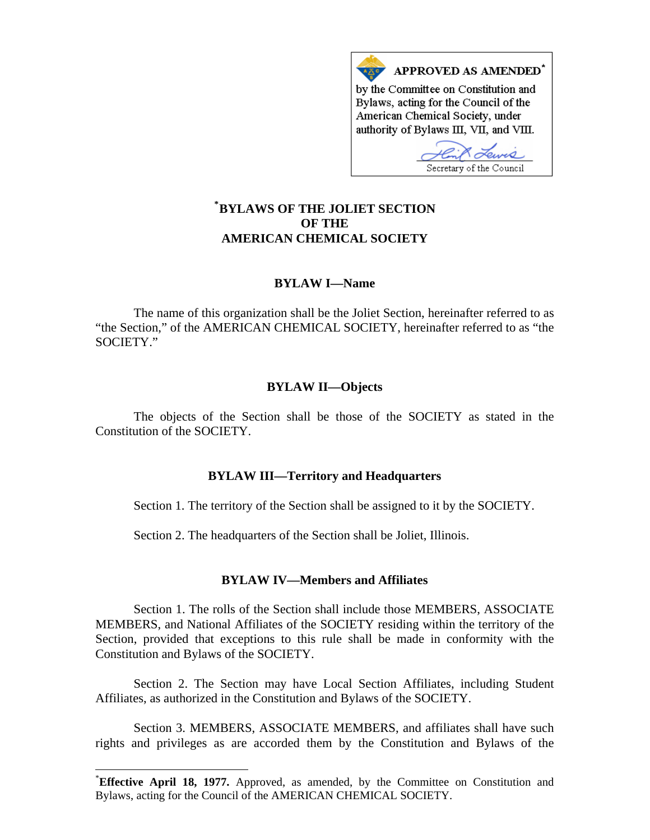

# **\* [BYLAWS OF THE JOLIET SECTION](#page-0-0)  OF THE AMERICAN CHEMICAL SOCIETY**

# **BYLAW I—Name**

The name of this organization shall be the Joliet Section, hereinafter referred to as "the Section," of the AMERICAN CHEMICAL SOCIETY, hereinafter referred to as "the SOCIETY."

# **BYLAW II—Objects**

The objects of the Section shall be those of the SOCIETY as stated in the Constitution of the SOCIETY.

# **BYLAW III—Territory and Headquarters**

Section 1. The territory of the Section shall be assigned to it by the SOCIETY.

Section 2. The headquarters of the Section shall be Joliet, Illinois.

# **BYLAW IV—Members and Affiliates**

Section 1. The rolls of the Section shall include those MEMBERS, ASSOCIATE MEMBERS, and National Affiliates of the SOCIETY residing within the territory of the Section, provided that exceptions to this rule shall be made in conformity with the Constitution and Bylaws of the SOCIETY.

Section 2. The Section may have Local Section Affiliates, including Student Affiliates, as authorized in the Constitution and Bylaws of the SOCIETY.

Section 3. MEMBERS, ASSOCIATE MEMBERS, and affiliates shall have such rights and privileges as are accorded them by the Constitution and Bylaws of the

 $\overline{a}$ 

<span id="page-0-0"></span><sup>\*</sup> **Effective April 18, 1977.** Approved, as amended, by the Committee on Constitution and Bylaws, acting for the Council of the AMERICAN CHEMICAL SOCIETY.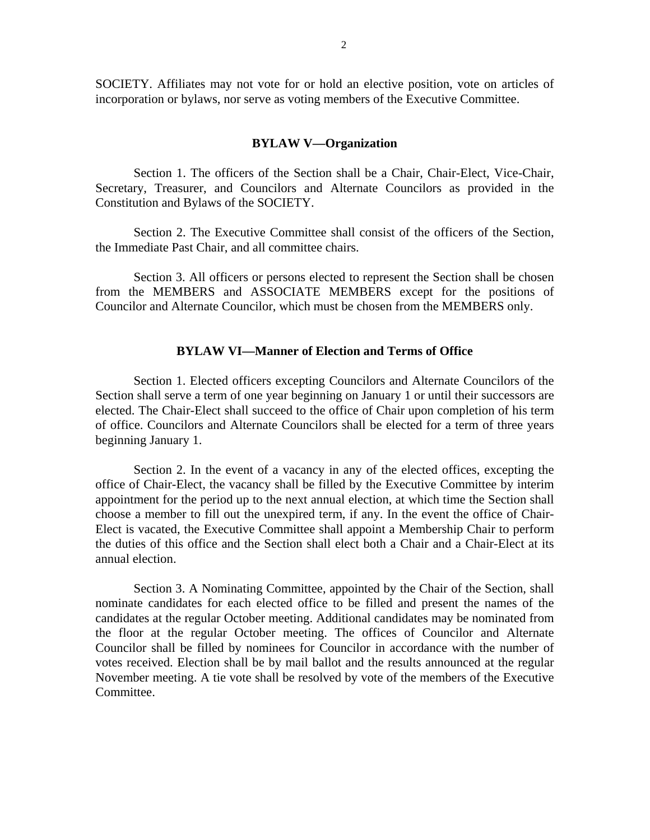SOCIETY. Affiliates may not vote for or hold an elective position, vote on articles of incorporation or bylaws, nor serve as voting members of the Executive Committee.

#### **BYLAW V—Organization**

Section 1. The officers of the Section shall be a Chair, Chair-Elect, Vice-Chair, Secretary, Treasurer, and Councilors and Alternate Councilors as provided in the Constitution and Bylaws of the SOCIETY.

Section 2. The Executive Committee shall consist of the officers of the Section, the Immediate Past Chair, and all committee chairs.

Section 3. All officers or persons elected to represent the Section shall be chosen from the MEMBERS and ASSOCIATE MEMBERS except for the positions of Councilor and Alternate Councilor, which must be chosen from the MEMBERS only.

# **BYLAW VI—Manner of Election and Terms of Office**

Section 1. Elected officers excepting Councilors and Alternate Councilors of the Section shall serve a term of one year beginning on January 1 or until their successors are elected. The Chair-Elect shall succeed to the office of Chair upon completion of his term of office. Councilors and Alternate Councilors shall be elected for a term of three years beginning January 1.

Section 2. In the event of a vacancy in any of the elected offices, excepting the office of Chair-Elect, the vacancy shall be filled by the Executive Committee by interim appointment for the period up to the next annual election, at which time the Section shall choose a member to fill out the unexpired term, if any. In the event the office of Chair-Elect is vacated, the Executive Committee shall appoint a Membership Chair to perform the duties of this office and the Section shall elect both a Chair and a Chair-Elect at its annual election.

Section 3. A Nominating Committee, appointed by the Chair of the Section, shall nominate candidates for each elected office to be filled and present the names of the candidates at the regular October meeting. Additional candidates may be nominated from the floor at the regular October meeting. The offices of Councilor and Alternate Councilor shall be filled by nominees for Councilor in accordance with the number of votes received. Election shall be by mail ballot and the results announced at the regular November meeting. A tie vote shall be resolved by vote of the members of the Executive Committee.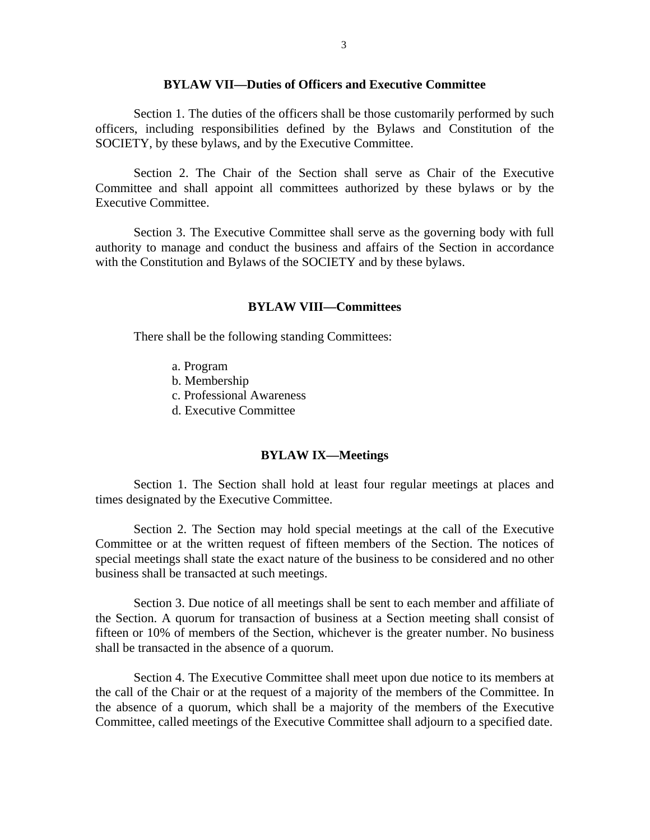### **BYLAW VII—Duties of Officers and Executive Committee**

Section 1. The duties of the officers shall be those customarily performed by such officers, including responsibilities defined by the Bylaws and Constitution of the SOCIETY, by these bylaws, and by the Executive Committee.

Section 2. The Chair of the Section shall serve as Chair of the Executive Committee and shall appoint all committees authorized by these bylaws or by the Executive Committee.

Section 3. The Executive Committee shall serve as the governing body with full authority to manage and conduct the business and affairs of the Section in accordance with the Constitution and Bylaws of the SOCIETY and by these bylaws.

#### **BYLAW VIII—Committees**

There shall be the following standing Committees:

- a. Program
- b. Membership
- c. Professional Awareness
- d. Executive Committee

### **BYLAW IX—Meetings**

Section 1. The Section shall hold at least four regular meetings at places and times designated by the Executive Committee.

Section 2. The Section may hold special meetings at the call of the Executive Committee or at the written request of fifteen members of the Section. The notices of special meetings shall state the exact nature of the business to be considered and no other business shall be transacted at such meetings.

Section 3. Due notice of all meetings shall be sent to each member and affiliate of the Section. A quorum for transaction of business at a Section meeting shall consist of fifteen or 10% of members of the Section, whichever is the greater number. No business shall be transacted in the absence of a quorum.

Section 4. The Executive Committee shall meet upon due notice to its members at the call of the Chair or at the request of a majority of the members of the Committee. In the absence of a quorum, which shall be a majority of the members of the Executive Committee, called meetings of the Executive Committee shall adjourn to a specified date.